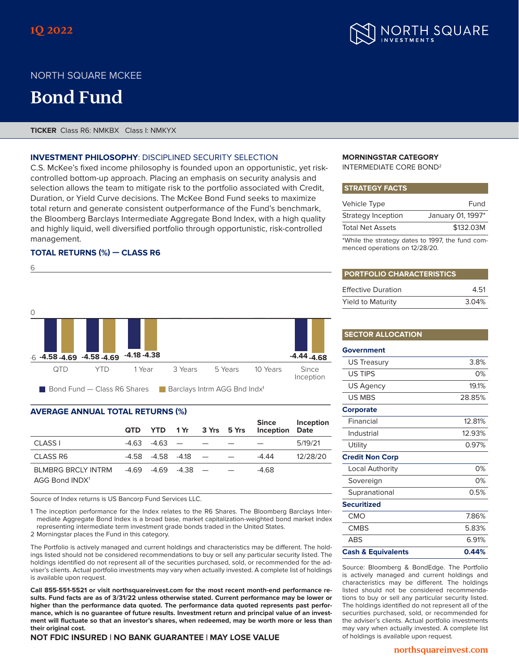

## NORTH SQUARE MCKEE

# **Bond Fund**

**TICKER** Class R6: NMKBX Class I: NMKYX

### **INVESTMENT PHILOSOPHY**: DISCIPLINED SECURITY SELECTION

C.S. McKee's fixed income philosophy is founded upon an opportunistic, yet riskcontrolled bottom-up approach. Placing an emphasis on security analysis and selection allows the team to mitigate risk to the portfolio associated with Credit, Duration, or Yield Curve decisions. The McKee Bond Fund seeks to maximize total return and generate consistent outperformance of the Fund's benchmark, the Bloomberg Barclays Intermediate Aggregate Bond Index, with a high quality and highly liquid, well diversified portfolio through opportunistic, risk-controlled management.

## **TOTAL RETURNS (%) — CLASS R6**



## **AVERAGE ANNUAL TOTAL RETURNS (%)**

|                                                         | QTD. |  |                              | YTD 1Yr 3Yrs 5Yrs | <b>Inception Date</b> | Since Inception |
|---------------------------------------------------------|------|--|------------------------------|-------------------|-----------------------|-----------------|
| CLASS I                                                 |      |  | $-4.63$ $-4.63$ $  -$        |                   |                       | 5/19/21         |
| <b>CLASS R6</b>                                         |      |  | $-4.58$ $-4.58$ $-4.18$ $ -$ |                   | $-4.44$               | 12/28/20        |
| <b>BLMBRG BRCLY INTRM</b><br>AGG Bond INDX <sup>1</sup> |      |  | $-4.69$ $-4.69$ $-4.38$ $ -$ |                   | $-4.68$               |                 |

Source of Index returns is US Bancorp Fund Services LLC.

1 The inception performance for the Index relates to the R6 Shares. The Bloomberg Barclays Intermediate Aggregate Bond Index is a broad base, market capitalization-weighted bond market index representing intermediate term investment grade bonds traded in the United States.

2 Morningstar places the Fund in this category.

The Portfolio is actively managed and current holdings and characteristics may be different. The holdings listed should not be considered recommendations to buy or sell any particular security listed. The holdings identified do not represent all of the securities purchased, sold, or recommended for the adviser's clients. Actual portfolio investments may vary when actually invested. A complete list of holdings is available upon request.

**Call 855-551-5521 or visit northsquareinvest.com for the most recent month-end performance results. Fund facts are as of 3/31/22 unless otherwise stated. Current performance may be lower or higher than the performance data quoted. The performance data quoted represents past performance, which is no guarantee of future results. Investment return and principal value of an investment will fluctuate so that an investor's shares, when redeemed, may be worth more or less than their original cost.** 

**NOT FDIC INSURED | NO BANK GUARANTEE | MAY LOSE VALUE**

#### **MORNINGSTAR CATEGORY** INTERMEDIATE CORE BOND2

#### **STRATEGY FACTS**

| Vehicle Type            | Fund              |
|-------------------------|-------------------|
| Strategy Inception      | January 01, 1997* |
| <b>Total Net Assets</b> | \$132.03M         |

\*While the strategy dates to 1997, the fund commenced operations on 12/28/20.

| <b>PORTFOLIO CHARACTERISTICS</b> |       |  |
|----------------------------------|-------|--|
| <b>Effective Duration</b>        | 4.51  |  |
| <b>Yield to Maturity</b>         | 3.04% |  |

#### **SECTOR ALLOCATION**

| Government                    |        |
|-------------------------------|--------|
| US Treasury                   | 3.8%   |
| US TIPS                       | 0%     |
| US Agency                     | 19.1%  |
| US MBS                        | 28.85% |
| <b>Corporate</b>              |        |
| Financial                     | 12.81% |
| Industrial                    | 12.93% |
| Utility                       | 0.97%  |
| <b>Credit Non Corp</b>        |        |
| Local Authority               | 0%     |
| Sovereign                     | 0%     |
| Supranational                 | 0.5%   |
| <b>Securitized</b>            |        |
| CMO                           | 7.86%  |
| <b>CMBS</b>                   | 5.83%  |
| ABS                           | 6.91%  |
| <b>Cash &amp; Equivalents</b> | 0.44%  |

Source: Bloomberg & BondEdge. The Portfolio is actively managed and current holdings and characteristics may be different. The holdings listed should not be considered recommendations to buy or sell any particular security listed. The holdings identified do not represent all of the securities purchased, sold, or recommended for the adviser's clients. Actual portfolio investments may vary when actually invested. A complete list of holdings is available upon request.